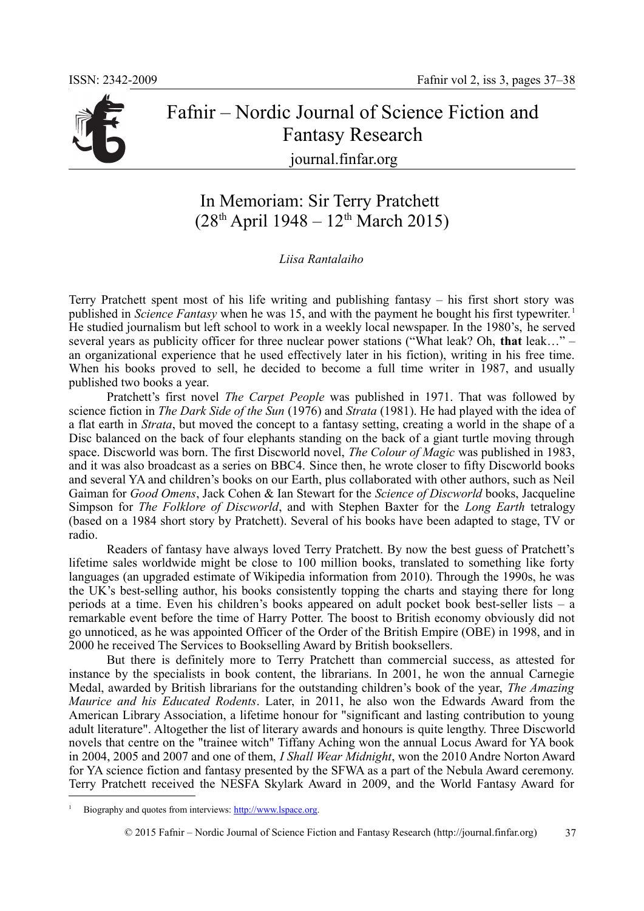

## Fafnir – Nordic Journal of Science Fiction and Fantasy Research journal.finfar.org

## In Memoriam: Sir Terry Pratchett  $(28<sup>th</sup>$  April 1948 – 12<sup>th</sup> March 2015)

*Liisa Rantalaiho*

Terry Pratchett spent most of his life writing and publishing fantasy – his first short story was published in *Science Fantasy* when he was 15, and with the payment he bought his first typewriter. <sup>1</sup> He studied journalism but left school to work in a weekly local newspaper. In the 1980's, he served several years as publicity officer for three nuclear power stations ("What leak? Oh, **that** leak…" – an organizational experience that he used effectively later in his fiction), writing in his free time. When his books proved to sell, he decided to become a full time writer in 1987, and usually published two books a year.

Pratchett's first novel *The Carpet People* was published in 1971. That was followed by science fiction in *The Dark Side of the Sun* (1976) and *Strata* (1981). He had played with the idea of a flat earth in *Strata*, but moved the concept to a fantasy setting, creating a world in the shape of a Disc balanced on the back of four elephants standing on the back of a giant turtle moving through space. Discworld was born. The first Discworld novel, *The Colour of Magic* was published in 1983, and it was also broadcast as a series on BBC4. Since then, he wrote closer to fifty Discworld books and several YA and children's books on our Earth, plus collaborated with other authors, such as Neil Gaiman for *Good Omens*, Jack Cohen & Ian Stewart for the *Science of Discworld* books, Jacqueline Simpson for *The Folklore of Discworld*, and with Stephen Baxter for the *Long Earth* tetralogy (based on a 1984 short story by Pratchett). Several of his books have been adapted to stage, TV or radio.

Readers of fantasy have always loved Terry Pratchett. By now the best guess of Pratchett's lifetime sales worldwide might be close to 100 million books, translated to something like forty languages (an upgraded estimate of Wikipedia information from 2010). Through the 1990s, he was the UK's best-selling author, his books consistently topping the charts and staying there for long periods at a time. Even his children's books appeared on adult pocket book best-seller lists – a remarkable event before the time of Harry Potter. The boost to British economy obviously did not go unnoticed, as he was appointed Officer of the Order of the British Empire (OBE) in 1998, and in 2000 he received The Services to Bookselling Award by British booksellers.

But there is definitely more to Terry Pratchett than commercial success, as attested for instance by the specialists in book content, the librarians. In 2001, he won the annual Carnegie Medal, awarded by British librarians for the outstanding children's book of the year, *The Amazing Maurice and his Educated Rodents*. Later, in 2011, he also won the Edwards Award from the American Library Association, a lifetime honour for "significant and lasting contribution to young adult literature". Altogether the list of literary awards and honours is quite lengthy. Three Discworld novels that centre on the "trainee witch" Tiffany Aching won the annual Locus Award for YA book in 2004, 2005 and 2007 and one of them, *I Shall Wear Midnight*, won the 2010 Andre Norton Award for YA science fiction and fantasy presented by the SFWA as a part of the Nebula Award ceremony. Terry Pratchett received the NESFA Skylark Award in 2009, and the World Fantasy Award for

<sup>1</sup> Biography and quotes from interviews: http://www.lspace.org.